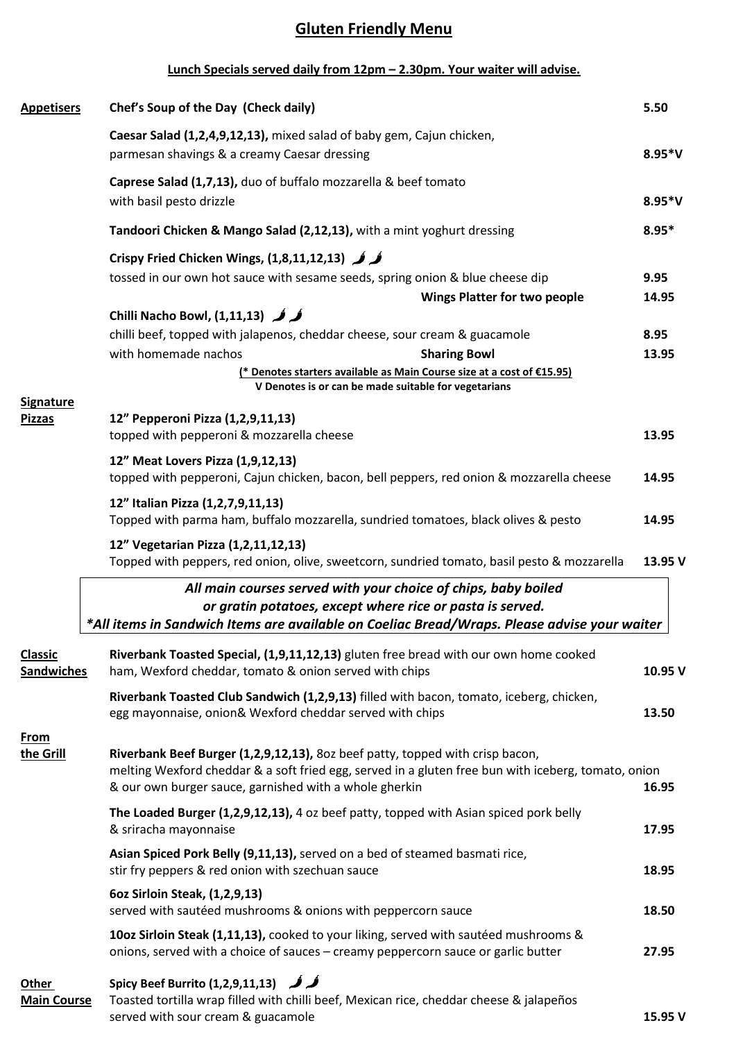## **Gluten Friendly Menu**

## **Lunch Specials served daily from 12pm – 2.30pm. Your waiter will advise.**

| <b>Appetisers</b>                   | Chef's Soup of the Day (Check daily)                                                                                                                                                                                                           | 5.50     |  |  |
|-------------------------------------|------------------------------------------------------------------------------------------------------------------------------------------------------------------------------------------------------------------------------------------------|----------|--|--|
|                                     | Caesar Salad (1,2,4,9,12,13), mixed salad of baby gem, Cajun chicken,<br>parmesan shavings & a creamy Caesar dressing                                                                                                                          | $8.95*V$ |  |  |
|                                     | Caprese Salad (1,7,13), duo of buffalo mozzarella & beef tomato                                                                                                                                                                                |          |  |  |
|                                     | with basil pesto drizzle                                                                                                                                                                                                                       |          |  |  |
|                                     | Tandoori Chicken & Mango Salad (2,12,13), with a mint yoghurt dressing                                                                                                                                                                         | $8.95*$  |  |  |
|                                     | Crispy Fried Chicken Wings, $(1,8,11,12,13)$ $\downarrow$                                                                                                                                                                                      |          |  |  |
|                                     | tossed in our own hot sauce with sesame seeds, spring onion & blue cheese dip                                                                                                                                                                  | 9.95     |  |  |
|                                     | <b>Wings Platter for two people</b>                                                                                                                                                                                                            | 14.95    |  |  |
|                                     | Chilli Nacho Bowl, $(1,11,13)$                                                                                                                                                                                                                 |          |  |  |
|                                     | chilli beef, topped with jalapenos, cheddar cheese, sour cream & guacamole                                                                                                                                                                     | 8.95     |  |  |
|                                     | with homemade nachos<br><b>Sharing Bowl</b>                                                                                                                                                                                                    | 13.95    |  |  |
|                                     | (* Denotes starters available as Main Course size at a cost of €15.95)<br>V Denotes is or can be made suitable for vegetarians                                                                                                                 |          |  |  |
| <b>Signature</b><br><b>Pizzas</b>   | 12" Pepperoni Pizza (1,2,9,11,13)<br>topped with pepperoni & mozzarella cheese                                                                                                                                                                 | 13.95    |  |  |
|                                     | 12" Meat Lovers Pizza (1,9,12,13)                                                                                                                                                                                                              |          |  |  |
|                                     | topped with pepperoni, Cajun chicken, bacon, bell peppers, red onion & mozzarella cheese                                                                                                                                                       | 14.95    |  |  |
|                                     | 12" Italian Pizza (1,2,7,9,11,13)<br>Topped with parma ham, buffalo mozzarella, sundried tomatoes, black olives & pesto                                                                                                                        | 14.95    |  |  |
|                                     | 12" Vegetarian Pizza (1,2,11,12,13)<br>Topped with peppers, red onion, olive, sweetcorn, sundried tomato, basil pesto & mozzarella                                                                                                             | 13.95 V  |  |  |
|                                     | All main courses served with your choice of chips, baby boiled                                                                                                                                                                                 |          |  |  |
|                                     | or gratin potatoes, except where rice or pasta is served.                                                                                                                                                                                      |          |  |  |
|                                     | *All items in Sandwich Items are available on Coeliac Bread/Wraps. Please advise your waiter                                                                                                                                                   |          |  |  |
| <b>Classic</b><br><b>Sandwiches</b> | Riverbank Toasted Special, (1,9,11,12,13) gluten free bread with our own home cooked<br>ham, Wexford cheddar, tomato & onion served with chips                                                                                                 | 10.95 V  |  |  |
|                                     | Riverbank Toasted Club Sandwich (1,2,9,13) filled with bacon, tomato, iceberg, chicken,<br>egg mayonnaise, onion& Wexford cheddar served with chips                                                                                            | 13.50    |  |  |
| <b>From</b><br>the Grill            | Riverbank Beef Burger (1,2,9,12,13), 8oz beef patty, topped with crisp bacon,<br>melting Wexford cheddar & a soft fried egg, served in a gluten free bun with iceberg, tomato, onion<br>& our own burger sauce, garnished with a whole gherkin | 16.95    |  |  |
|                                     | The Loaded Burger (1,2,9,12,13), 4 oz beef patty, topped with Asian spiced pork belly<br>& sriracha mayonnaise                                                                                                                                 | 17.95    |  |  |
|                                     | Asian Spiced Pork Belly (9,11,13), served on a bed of steamed basmati rice,<br>stir fry peppers & red onion with szechuan sauce                                                                                                                | 18.95    |  |  |
|                                     | 6oz Sirloin Steak, (1,2,9,13)<br>served with sautéed mushrooms & onions with peppercorn sauce                                                                                                                                                  | 18.50    |  |  |
|                                     | 10oz Sirloin Steak (1,11,13), cooked to your liking, served with sautéed mushrooms &<br>onions, served with a choice of sauces - creamy peppercorn sauce or garlic butter                                                                      | 27.95    |  |  |
| Other<br><b>Main Course</b>         | <b>Spicy Beef Burrito (1,2,9,11,13)</b> (Spicy Beef Burrito )<br>Toasted tortilla wrap filled with chilli beef, Mexican rice, cheddar cheese & jalapeños<br>served with sour cream & guacamole                                                 | 15.95 V  |  |  |